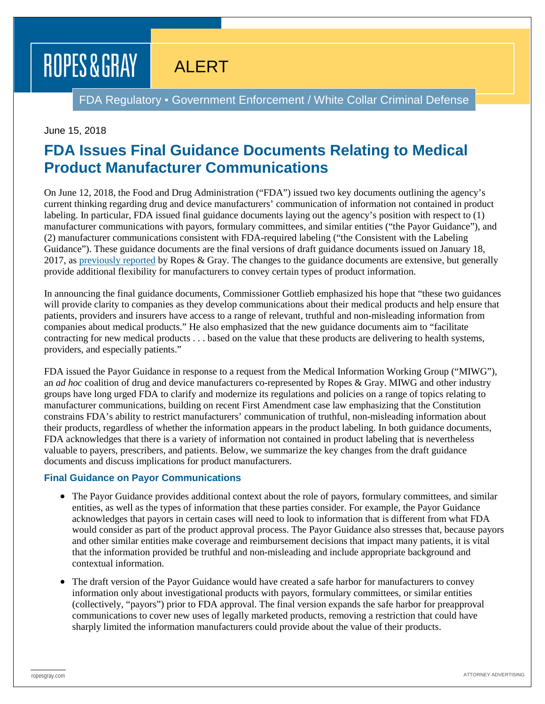# ROPES & GRAY

### ALERT

FDA Regulatory ▪ Government Enforcement / White Collar Criminal Defense

#### June 15, 2018

### **FDA Issues Final Guidance Documents Relating to Medical Product Manufacturer Communications**

On June 12, 2018, the Food and Drug Administration ("FDA") issued two key documents outlining the agency's current thinking regarding drug and device manufacturers' communication of information not contained in product labeling. In particular, FDA issued final guidance documents laying out the agency's position with respect to (1) manufacturer communications with payors, formulary committees, and similar entities ("the Payor Guidance"), and (2) manufacturer communications consistent with FDA-required labeling ("the Consistent with the Labeling Guidance"). These guidance documents are the final versions of draft guidance documents issued on January 18, 2017, as [previously reported](https://www.ropesgray.com/en/newsroom/alerts/2017/01/FDA-Issues-Three-Key-Documents-Relating-to-Medical-Product-Manufacturer-Communications) by Ropes & Gray. The changes to the guidance documents are extensive, but generally provide additional flexibility for manufacturers to convey certain types of product information.

In announcing the final guidance documents, Commissioner Gottlieb emphasized his hope that "these two guidances will provide clarity to companies as they develop communications about their medical products and help ensure that patients, providers and insurers have access to a range of relevant, truthful and non-misleading information from companies about medical products." He also emphasized that the new guidance documents aim to "facilitate contracting for new medical products . . . based on the value that these products are delivering to health systems, providers, and especially patients."

FDA issued the Payor Guidance in response to a request from the Medical Information Working Group ("MIWG"), an *ad hoc* coalition of drug and device manufacturers co-represented by Ropes & Gray. MIWG and other industry groups have long urged FDA to clarify and modernize its regulations and policies on a range of topics relating to manufacturer communications, building on recent First Amendment case law emphasizing that the Constitution constrains FDA's ability to restrict manufacturers' communication of truthful, non-misleading information about their products, regardless of whether the information appears in the product labeling. In both guidance documents, FDA acknowledges that there is a variety of information not contained in product labeling that is nevertheless valuable to payers, prescribers, and patients. Below, we summarize the key changes from the draft guidance documents and discuss implications for product manufacturers.

#### **Final Guidance on Payor Communications**

- The Payor Guidance provides additional context about the role of payors, formulary committees, and similar entities, as well as the types of information that these parties consider. For example, the Payor Guidance acknowledges that payors in certain cases will need to look to information that is different from what FDA would consider as part of the product approval process. The Payor Guidance also stresses that, because payors and other similar entities make coverage and reimbursement decisions that impact many patients, it is vital that the information provided be truthful and non-misleading and include appropriate background and contextual information.
- The draft version of the Payor Guidance would have created a safe harbor for manufacturers to convey information only about investigational products with payors, formulary committees, or similar entities (collectively, "payors") prior to FDA approval. The final version expands the safe harbor for preapproval communications to cover new uses of legally marketed products, removing a restriction that could have sharply limited the information manufacturers could provide about the value of their products.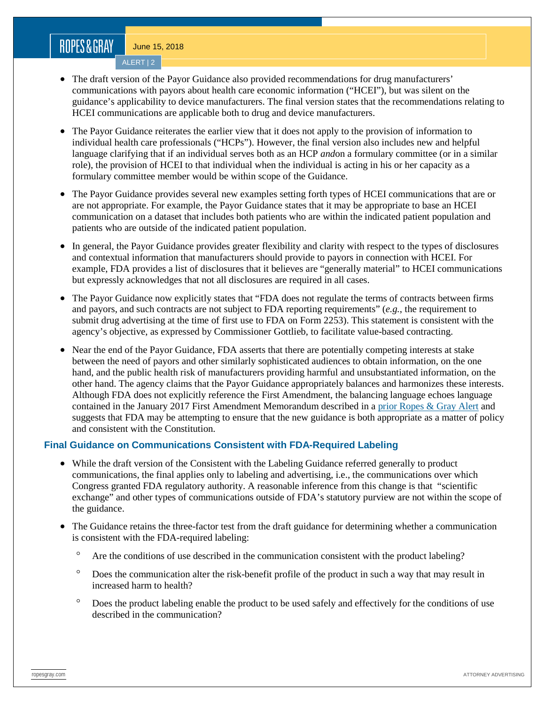## ROPES&GRAY

June 15, 2018

ALERT | 2

- The draft version of the Payor Guidance also provided recommendations for drug manufacturers' communications with payors about health care economic information ("HCEI"), but was silent on the guidance's applicability to device manufacturers. The final version states that the recommendations relating to HCEI communications are applicable both to drug and device manufacturers.
- The Payor Guidance reiterates the earlier view that it does not apply to the provision of information to individual health care professionals ("HCPs"). However, the final version also includes new and helpful language clarifying that if an individual serves both as an HCP *and*on a formulary committee (or in a similar role), the provision of HCEI to that individual when the individual is acting in his or her capacity as a formulary committee member would be within scope of the Guidance.
- The Payor Guidance provides several new examples setting forth types of HCEI communications that are or are not appropriate. For example, the Payor Guidance states that it may be appropriate to base an HCEI communication on a dataset that includes both patients who are within the indicated patient population and patients who are outside of the indicated patient population.
- In general, the Payor Guidance provides greater flexibility and clarity with respect to the types of disclosures and contextual information that manufacturers should provide to payors in connection with HCEI. For example, FDA provides a list of disclosures that it believes are "generally material" to HCEI communications but expressly acknowledges that not all disclosures are required in all cases.
- The Payor Guidance now explicitly states that "FDA does not regulate the terms of contracts between firms and payors, and such contracts are not subject to FDA reporting requirements" (*e.g.*, the requirement to submit drug advertising at the time of first use to FDA on Form 2253). This statement is consistent with the agency's objective, as expressed by Commissioner Gottlieb, to facilitate value-based contracting.
- Near the end of the Payor Guidance, FDA asserts that there are potentially competing interests at stake between the need of payors and other similarly sophisticated audiences to obtain information, on the one hand, and the public health risk of manufacturers providing harmful and unsubstantiated information, on the other hand. The agency claims that the Payor Guidance appropriately balances and harmonizes these interests. Although FDA does not explicitly reference the First Amendment, the balancing language echoes language contained in the January 2017 First Amendment Memorandum described in a [prior Ropes & Gray Alert](https://www.ropesgray.com/en/newsroom/alerts/2017/01/FDA-Issues-Three-Key-Documents-Relating-to-Medical-Product-Manufacturer-Communications) and suggests that FDA may be attempting to ensure that the new guidance is both appropriate as a matter of policy and consistent with the Constitution.

#### **Final Guidance on Communications Consistent with FDA-Required Labeling**

- While the draft version of the Consistent with the Labeling Guidance referred generally to product communications, the final applies only to labeling and advertising, i.e., the communications over which Congress granted FDA regulatory authority. A reasonable inference from this change is that "scientific exchange" and other types of communications outside of FDA's statutory purview are not within the scope of the guidance.
- The Guidance retains the three-factor test from the draft guidance for determining whether a communication is consistent with the FDA-required labeling:
	- Are the conditions of use described in the communication consistent with the product labeling?
	- ° Does the communication alter the risk-benefit profile of the product in such a way that may result in increased harm to health?
	- ° Does the product labeling enable the product to be used safely and effectively for the conditions of use described in the communication?